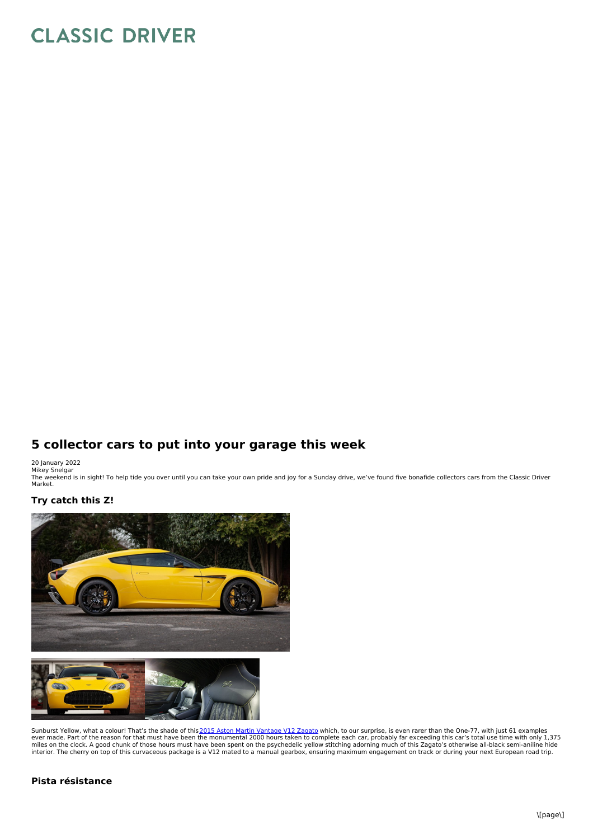# **CLASSIC DRIVER**

# **5 collector cars to put into your garage this week**

20 January 2022<br>Mikey Snelgar

The weekend is in sight! To help tide you over until you can take your own pride and joy for a Sunday drive, we've found five bonafide collectors cars from the Classic Driver<br>Market.

## **Try catch this Z!**



Sunburst Yellow, what a colour! That's the shade of this <u>2015 Aston Martin [Vantage](https://www.classicdriver.com/en/car/aston-martin/v12-vantage/2015/820158) V12 Zagato</u> which, to our surprise, is even rarer than the One-77, with just 61 examples<br>ever made. Part of the reason for that must have

## **Pista résistance**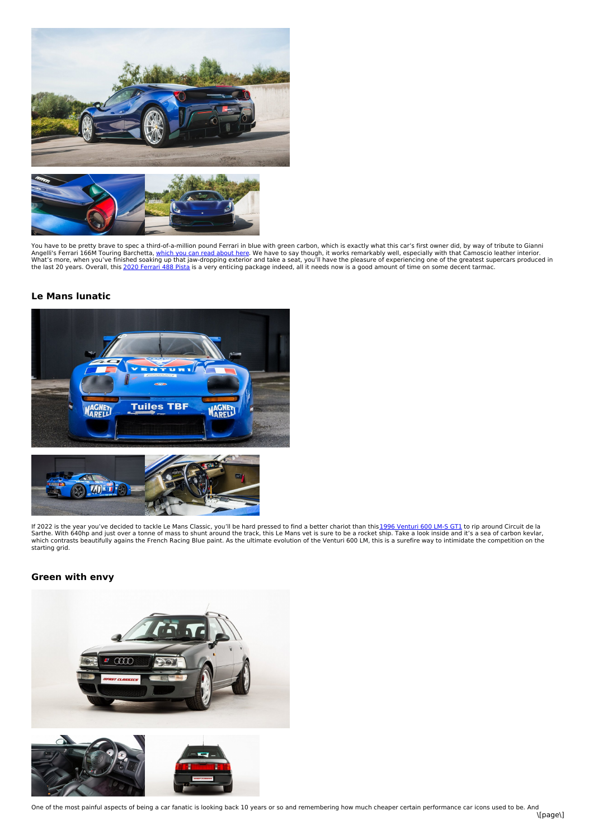

You have to be pretty brave to spec a third-of-a-million pound Ferrari in blue with green carbon, which is exactly what this car's first owner did, by way of tribute to Gianni Angelli's Ferrari 166M Touring Barchetta, <u>which you can read [about](https://www.classicdriver.com/en/article/cars/waking-milan-gianni-agnellis-ferrari-166-mm) here</u>. We have to say though, it works remarkably well, especially with that Camoscio leather interior.<br>What's more, when you've finished soaking up that the last 20 years. Overall, this 2020 [Ferrari](https://www.classicdriver.com/en/car/ferrari/488/2020/867851) 488 Pista is a very enticing package indeed, all it needs now is a good amount of time on some decent tarmac.

#### **Le Mans lunatic**





lf 2022 is the year you've decided to tackle Le Mans Classic, you'll be hard pressed to find a better chariot than this<u> 1996 [Venturi](https://www.classicdriver.com/en/car/venturi/600/1996/884204) 600 LM-S GT1</u> to rip around Circuit de la<br>Sarthe. With 640hp and just over a tonne of ma

#### **Green with envy**